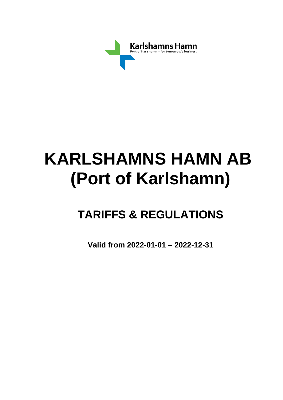

# **KARLSHAMNS HAMN AB (Port of Karlshamn)**

## **TARIFFS & REGULATIONS**

**Valid from 2022-01-01 – 2022-12-31**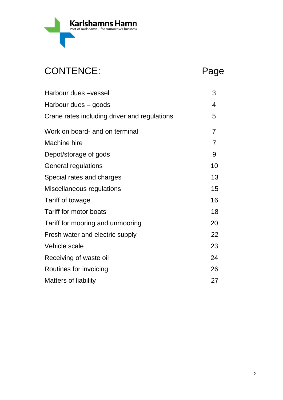

## CONTENCE: Page

| Harbour dues -vessel                         | 3              |
|----------------------------------------------|----------------|
| Harbour dues – goods                         | 4              |
| Crane rates including driver and regulations | 5              |
| Work on board- and on terminal               | $\overline{7}$ |
| Machine hire                                 | $\overline{7}$ |
| Depot/storage of gods                        | 9              |
| <b>General regulations</b>                   | 10             |
| Special rates and charges                    | 13             |
| Miscellaneous regulations                    | 15             |
| Tariff of towage                             | 16             |
| Tariff for motor boats                       | 18             |
| Tariff for mooring and unmooring             | 20             |
| Fresh water and electric supply              | 22             |
| Vehicle scale                                | 23             |
| Receiving of waste oil                       | 24             |
| Routines for invoicing                       | 26             |
| <b>Matters of liability</b>                  | 27             |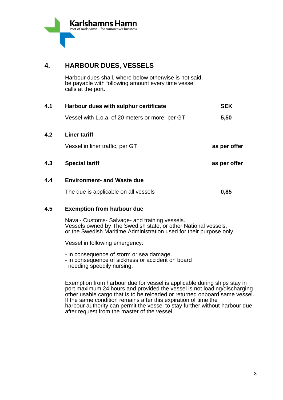

### **4. HARBOUR DUES, VESSELS**

Harbour dues shall, where below otherwise is not said, be payable with following amount every time vessel calls at the port.

| 4.1 | Harbour dues with sulphur certificate           | <b>SEK</b>   |
|-----|-------------------------------------------------|--------------|
|     | Vessel with L.o.a. of 20 meters or more, per GT | 5,50         |
| 4.2 | <b>Liner tariff</b>                             |              |
|     | Vessel in liner traffic, per GT                 | as per offer |
| 4.3 | <b>Special tariff</b>                           | as per offer |
| 4.4 | <b>Environment- and Waste due</b>               |              |
|     | The due is applicable on all vessels            | 0,85         |

### **4.5 Exemption from harbour due**

Naval- Customs- Salvage- and training vessels. Vessels owned by The Swedish state, or other National vessels, or the Swedish Maritime Administration used for their purpose only.

Vessel in following emergency:

- in consequence of storm or sea damage.
- in consequence of sickness or accident on board needing speedily nursing.

Exemption from harbour due for vessel is applicable during ships stay in port maximum 24 hours and provided the vessel is not loading/discharging other usable cargo that is to be reloaded or returned onboard same vessel. If the same condition remains after this expiration of time the harbour authority can permit the vessel to stay further without harbour due after request from the master of the vessel.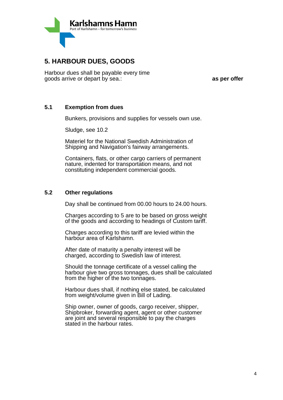

### **5. HARBOUR DUES, GOODS**

Harbour dues shall be payable every time goods arrive or depart by sea.: **as per offer**

#### **5.1 Exemption from dues**

Bunkers, provisions and supplies for vessels own use.

Sludge, see 10.2

Materiel for the National Swedish Administration of Shipping and Navigation's fairway arrangements.

Containers, flats, or other cargo carriers of permanent nature, indented for transportation means, and not constituting independent commercial goods.

#### **5.2 Other regulations**

Day shall be continued from 00.00 hours to 24.00 hours.

Charges according to 5 are to be based on gross weight of the goods and according to headings of Custom tariff.

Charges according to this tariff are levied within the harbour area of Karlshamn.

After date of maturity a penalty interest will be charged, according to Swedish law of interest.

Should the tonnage certificate of a vessel calling the harbour give two gross tonnages, dues shall be calculated from the higher of the two tonnages.

Harbour dues shall, if nothing else stated, be calculated from weight/volume given in Bill of Lading.

Ship owner, owner of goods, cargo receiver, shipper, Shipbroker, forwarding agent, agent or other customer are joint and several responsible to pay the charges stated in the harbour rates.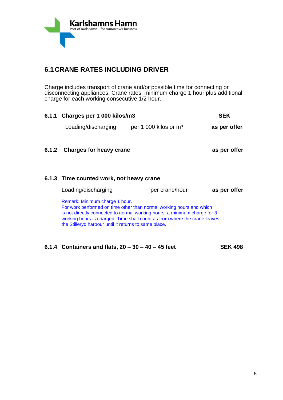

### **6.1 CRANE RATES INCLUDING DRIVER**

Charge includes transport of crane and/or possible time for connecting or disconnecting appliances. Crane rates: minimum charge 1 hour plus additional charge for each working consecutive 1/2 hour.

| 6.1.1 Charges per 1 000 kilos/m3                                                                                                                                                                                                                                                                                          |                         | SEK          |
|---------------------------------------------------------------------------------------------------------------------------------------------------------------------------------------------------------------------------------------------------------------------------------------------------------------------------|-------------------------|--------------|
| Loading/discharging                                                                                                                                                                                                                                                                                                       | per 1 000 kilos or $m3$ | as per offer |
| 6.1.2 Charges for heavy crane                                                                                                                                                                                                                                                                                             |                         | as per offer |
| 6.1.3 Time counted work, not heavy crane                                                                                                                                                                                                                                                                                  |                         |              |
| Loading/discharging                                                                                                                                                                                                                                                                                                       | per crane/hour          | as per offer |
| Remark: Minimum charge 1 hour.<br>For work performed on time other than normal working hours and which<br>is not directly connected to normal working hours, a minimum charge for 3<br>working hours is charged. Time shall count as from where the crane leaves<br>the Stilleryd harbour until it returns to same place. |                         |              |

**6.1.4 Containers and flats, 20 – 30 – 40 – 45 feet SEK 498**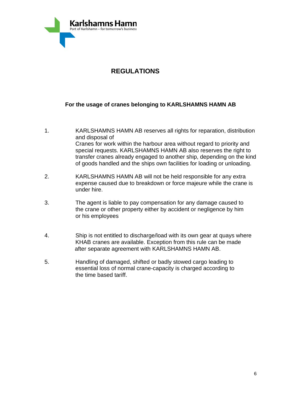

### **REGULATIONS**

### **For the usage of cranes belonging to KARLSHAMNS HAMN AB**

- 1. KARLSHAMNS HAMN AB reserves all rights for reparation, distribution and disposal of Cranes for work within the harbour area without regard to priority and special requests. KARLSHAMNS HAMN AB also reserves the right to transfer cranes already engaged to another ship, depending on the kind of goods handled and the ships own facilities for loading or unloading.
- 2. KARLSHAMNS HAMN AB will not be held responsible for any extra expense caused due to breakdown or force majeure while the crane is under hire.
- 3. The agent is liable to pay compensation for any damage caused to the crane or other property either by accident or negligence by him or his employees
- 4. Ship is not entitled to discharge/load with its own gear at quays where KHAB cranes are available. Exception from this rule can be made after separate agreement with KARLSHAMNS HAMN AB.
- 5. Handling of damaged, shifted or badly stowed cargo leading to essential loss of normal crane-capacity is charged according to the time based tariff.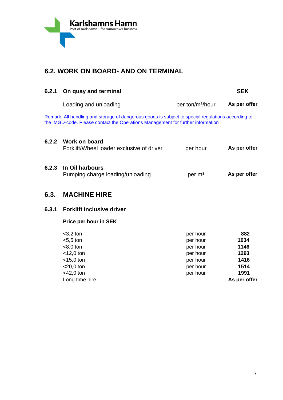

### **6.2. WORK ON BOARD- AND ON TERMINAL**

| 6.2.1 | On quay and terminal                                                                                                                                                                  |                                              | <b>SEK</b>                   |
|-------|---------------------------------------------------------------------------------------------------------------------------------------------------------------------------------------|----------------------------------------------|------------------------------|
|       | Loading and unloading                                                                                                                                                                 | per ton/m <sup>3</sup> /hour                 | As per offer                 |
|       | Remark. All handling and storage of dangerous goods is subject to special regulations according to<br>the IMGD-code. Please contact the Operations Management for further information |                                              |                              |
| 6.2.2 | Work on board<br>Forklift/Wheel loader exclusive of driver                                                                                                                            | per hour                                     | As per offer                 |
| 6.2.3 | In Oil harbours<br>Pumping charge loading/unloading                                                                                                                                   | per m <sup>3</sup>                           | As per offer                 |
| 6.3.  | <b>MACHINE HIRE</b>                                                                                                                                                                   |                                              |                              |
| 6.3.1 | <b>Forklift inclusive driver</b>                                                                                                                                                      |                                              |                              |
|       | Price per hour in SEK                                                                                                                                                                 |                                              |                              |
|       | $<$ 3,2 ton<br>$<$ 5,5 ton<br>$< 8.0$ ton                                                                                                                                             | per hour<br>per hour<br>per hour             | 882<br>1034<br>1146          |
|       | $<$ 12,0 ton<br>$<$ 15,0 ton<br>$<$ 20,0 ton<br>$<$ 42,0 ton                                                                                                                          | per hour<br>per hour<br>per hour<br>per hour | 1293<br>1416<br>1514<br>1991 |
|       | Long time hire                                                                                                                                                                        |                                              | As per offer                 |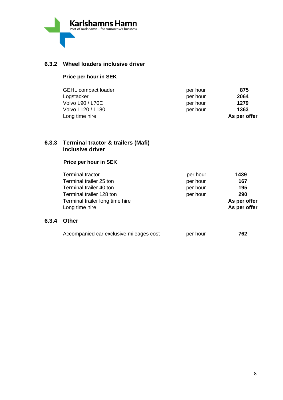

### **6.3.2 Wheel loaders inclusive driver**

### **Price per hour in SEK**

| <b>GEHL compact loader</b> | per hour | 875          |
|----------------------------|----------|--------------|
| Logstacker                 | per hour | 2064         |
| <b>Volvo L90 / L70E</b>    | per hour | 1279         |
| Volvo L120 / L180          | per hour | 1363         |
| Long time hire             |          | As per offer |

### **6.3.3 Terminal tractor & trailers (Mafi) inclusive driver**

### **Price per hour in SEK**

| <b>Terminal tractor</b>         | per hour | 1439         |
|---------------------------------|----------|--------------|
| Terminal trailer 25 ton         | per hour | 167          |
| Terminal trailer 40 ton         | per hour | 195          |
| Terminal trailer 128 ton        | per hour | 290          |
| Terminal trailer long time hire |          | As per offer |
| Long time hire                  |          | As per offer |
|                                 |          |              |

#### **6.3.4 Other**

| Accompanied car exclusive mileages cost | per hour | 762 |
|-----------------------------------------|----------|-----|
|                                         |          |     |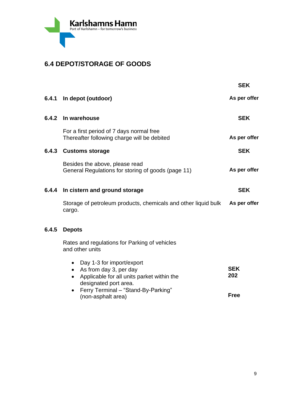

### **6.4 DEPOT/STORAGE OF GOODS**

|       |                                                                                                                                                                                               | <b>SEK</b>                       |
|-------|-----------------------------------------------------------------------------------------------------------------------------------------------------------------------------------------------|----------------------------------|
| 6.4.1 | In depot (outdoor)                                                                                                                                                                            | As per offer                     |
|       | 6.4.2 In warehouse                                                                                                                                                                            | <b>SEK</b>                       |
|       | For a first period of 7 days normal free<br>Thereafter following charge will be debited                                                                                                       | As per offer                     |
|       | 6.4.3 Customs storage                                                                                                                                                                         | <b>SEK</b>                       |
|       | Besides the above, please read<br>General Regulations for storing of goods (page 11)                                                                                                          | As per offer                     |
|       | 6.4.4 In cistern and ground storage                                                                                                                                                           | <b>SEK</b>                       |
|       | Storage of petroleum products, chemicals and other liquid bulk<br>cargo.                                                                                                                      | As per offer                     |
| 6.4.5 | <b>Depots</b>                                                                                                                                                                                 |                                  |
|       | Rates and regulations for Parking of vehicles<br>and other units                                                                                                                              |                                  |
|       | • Day 1-3 for import/export<br>• As from day 3, per day<br>Applicable for all units parket within the<br>designated port area.<br>• Ferry Terminal - "Stand-By-Parking"<br>(non-asphalt area) | <b>SEK</b><br>202<br><b>Free</b> |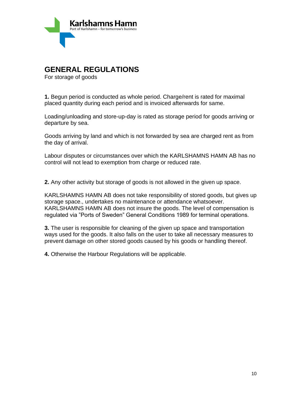

### **GENERAL REGULATIONS**

For storage of goods

**1.** Begun period is conducted as whole period. Charge/rent is rated for maximal placed quantity during each period and is invoiced afterwards for same.

Loading/unloading and store-up-day is rated as storage period for goods arriving or departure by sea.

Goods arriving by land and which is not forwarded by sea are charged rent as from the day of arrival.

Labour disputes or circumstances over which the KARLSHAMNS HAMN AB has no control will not lead to exemption from charge or reduced rate.

**2.** Any other activity but storage of goods is not allowed in the given up space.

KARLSHAMNS HAMN AB does not take responsibility of stored goods, but gives up storage space., undertakes no maintenance or attendance whatsoever. KARLSHAMNS HAMN AB does not insure the goods. The level of compensation is regulated via "Ports of Sweden" General Conditions 1989 for terminal operations.

**3.** The user is responsible for cleaning of the given up space and transportation ways used for the goods. It also falls on the user to take all necessary measures to prevent damage on other stored goods caused by his goods or handling thereof.

**4.** Otherwise the Harbour Regulations will be applicable.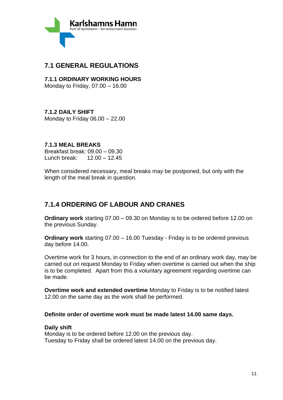

### **7.1 GENERAL REGULATIONS**

**7.1.1 ORDINARY WORKING HOURS** Monday to Friday, 07.00 – 16.00

### **7.1.2 DAILY SHIFT**

Monday to Friday 06.00 – 22.00

### **7.1.3 MEAL BREAKS**

Breakfast break: 09.00 – 09.30 Lunch break: 12.00 – 12.45

When considered necessary, meal breaks may be postponed, but only with the length of the meal break in question.

### **7.1.4 ORDERING OF LABOUR AND CRANES**

**Ordinary work** starting 07.00 – 09.30 on Monday is to be ordered before 12.00 on the previous Sunday.

**Ordinary work** starting 07.00 – 16.00 Tuesday - Friday is to be ordered previous day before 14.00.

Overtime work for 3 hours, in connection to the end of an ordinary work day, may be carried out on request Monday to Friday when overtime is carried out when the ship is to be completed. Apart from this a voluntary agreement regarding overtime can be made.

**Overtime work and extended overtime** Monday to Friday is to be notified latest 12.00 on the same day as the work shall be performed.

### **Definite order of overtime work must be made latest 14.00 same days.**

### **Daily shift**

Monday is to be ordered before 12.00 on the previous day. Tuesday to Friday shall be ordered latest 14.00 on the previous day.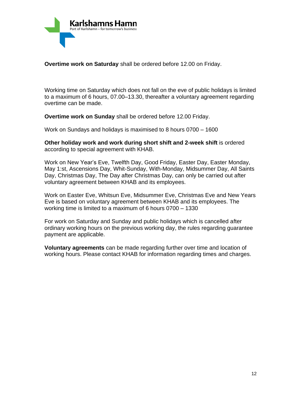

**Overtime work on Saturday** shall be ordered before 12.00 on Friday.

Working time on Saturday which does not fall on the eve of public holidays is limited to a maximum of 6 hours, 07.00–13.30, thereafter a voluntary agreement regarding overtime can be made.

**Overtime work on Sunday** shall be ordered before 12.00 Friday.

Work on Sundays and holidays is maximised to 8 hours 0700 – 1600

**Other holiday work and work during short shift and 2-week shift** is ordered according to special agreement with KHAB.

Work on New Year's Eve, Twelfth Day, Good Friday, Easter Day, Easter Monday, May 1:st, Ascensions Day, Whit-Sunday, With-Monday, Midsummer Day, All Saints Day, Christmas Day, The Day after Christmas Day, can only be carried out after voluntary agreement between KHAB and its employees.

Work on Easter Eve, Whitsun Eve, Midsummer Eve, Christmas Eve and New Years Eve is based on voluntary agreement between KHAB and its employees. The working time is limited to a maximum of 6 hours 0700 – 1330

For work on Saturday and Sunday and public holidays which is cancelled after ordinary working hours on the previous working day, the rules regarding guarantee payment are applicable.

**Voluntary agreements** can be made regarding further over time and location of working hours. Please contact KHAB for information regarding times and charges.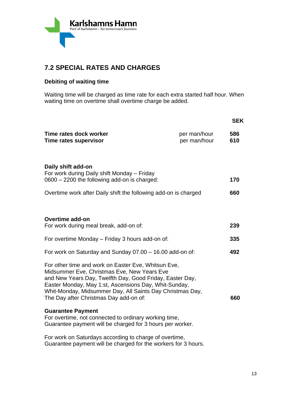

### **7.2 SPECIAL RATES AND CHARGES**

### **Debiting of waiting time**

Waiting time will be charged as time rate for each extra started half hour. When waiting time on overtime shall overtime charge be added.

|                                                                                                                                                                                                                                                                                                                                |                              | <b>SEK</b> |
|--------------------------------------------------------------------------------------------------------------------------------------------------------------------------------------------------------------------------------------------------------------------------------------------------------------------------------|------------------------------|------------|
| Time rates dock worker<br>Time rates supervisor                                                                                                                                                                                                                                                                                | per man/hour<br>per man/hour | 586<br>610 |
| Daily shift add-on<br>For work during Daily shift Monday - Friday<br>0600 - 2200 the following add-on is charged:                                                                                                                                                                                                              |                              | 170        |
| Overtime work after Daily shift the following add-on is charged                                                                                                                                                                                                                                                                |                              | 660        |
| Overtime add-on<br>For work during meal break, add-on of:                                                                                                                                                                                                                                                                      |                              | 239        |
| For overtime Monday – Friday 3 hours add-on of:                                                                                                                                                                                                                                                                                |                              | 335        |
| For work on Saturday and Sunday 07.00 - 16.00 add-on of:                                                                                                                                                                                                                                                                       |                              | 492        |
| For other time and work on Easter Eve, Whitsun Eve,<br>Midsummer Eve, Christmas Eve, New Years Eve<br>and New Years Day, Twelfth Day, Good Friday, Easter Day,<br>Easter Monday, May 1:st, Ascensions Day, Whit-Sunday,<br>Whit-Monday, Midsummer Day, All Saints Day Christmas Day,<br>The Day after Christmas Day add-on of: |                              | 660        |
| <b>Guarantee Payment</b><br>For overtime, not connected to ordinary working time,<br>Guarantee payment will be charged for 3 hours per worker.                                                                                                                                                                                 |                              |            |
| For work on Saturdays according to charge of overtime,                                                                                                                                                                                                                                                                         |                              |            |

Guarantee payment will be charged for the workers for 3 hours.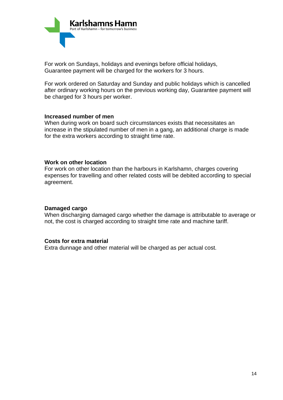

For work on Sundays, holidays and evenings before official holidays, Guarantee payment will be charged for the workers for 3 hours.

For work ordered on Saturday and Sunday and public holidays which is cancelled after ordinary working hours on the previous working day, Guarantee payment will be charged for 3 hours per worker.

#### **Increased number of men**

When during work on board such circumstances exists that necessitates an increase in the stipulated number of men in a gang, an additional charge is made for the extra workers according to straight time rate.

#### **Work on other location**

For work on other location than the harbours in Karlshamn, charges covering expenses for travelling and other related costs will be debited according to special agreement.

#### **Damaged cargo**

When discharging damaged cargo whether the damage is attributable to average or not, the cost is charged according to straight time rate and machine tariff.

### **Costs for extra material**

Extra dunnage and other material will be charged as per actual cost.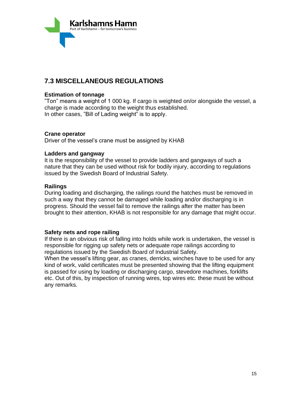

### **7.3 MISCELLANEOUS REGULATIONS**

### **Estimation of tonnage**

"Ton" means a weight of 1 000 kg. If cargo is weighted on/or alongside the vessel, a charge is made according to the weight thus established. In other cases, "Bill of Lading weight" is to apply.

### **Crane operator**

Driver of the vessel's crane must be assigned by KHAB

### **Ladders and gangway**

It is the responsibility of the vessel to provide ladders and gangways of such a nature that they can be used without risk for bodily injury, according to regulations issued by the Swedish Board of Industrial Safety.

### **Railings**

During loading and discharging, the railings round the hatches must be removed in such a way that they cannot be damaged while loading and/or discharging is in progress. Should the vessel fail to remove the railings after the matter has been brought to their attention, KHAB is not responsible for any damage that might occur.

#### **Safety nets and rope railing**

If there is an obvious risk of falling into holds while work is undertaken, the vessel is responsible for rigging up safety nets or adequate rope railings according to regulations issued by the Swedish Board of Industrial Safety.

When the vessel's lifting gear, as cranes, derricks, winches have to be used for any kind of work, valid certificates must be presented showing that the lifting equipment is passed for using by loading or discharging cargo, stevedore machines, forklifts etc. Out of this, by inspection of running wires, top wires etc. these must be without any remarks.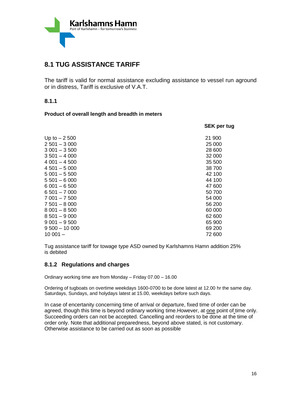

### **8.1 TUG ASSISTANCE TARIFF**

The tariff is valid for normal assistance excluding assistance to vessel run aground or in distress, Tariff is exclusive of V.A.T.

#### **8.1.1**

#### **Product of overall length and breadth in meters**

| <b>SEK per tug</b> |
|--------------------|
| 21 900             |
| 25 000             |
| 28 600             |
| 32 000             |
| 35 500             |
| 38 700             |
| 42 100             |
| 44 100             |
| 47 600             |
| 50 700             |
| 54 000             |
| 56 200             |
| 60 000             |
| 62 600             |
| 65 900             |
| 69 200             |
| 72 600             |
|                    |

Tug assistance tariff for towage type ASD owned by Karlshamns Hamn addition 25% is debited

### **8.1.2 Regulations and charges**

Ordinary working time are from Monday – Friday 07.00 – 16.00

Ordering of tugboats on overtime weekdays 1600-0700 to be done latest at 12.00 hr the same day. Saturdays, Sundays, and holydays latest at 15.00, weekdays before such days.

In case of encertanity concerning time of arrival or departure, fixed time of order can be agreed, though this time is beyond ordinary working time. However, at one point of time only. Succeeding orders can not be accepted. Cancelling and reorders to be done at the time of order only. Note that additional preparedness, beyond above stated, is not customary. Otherwise assistance to be carried out as soon as possible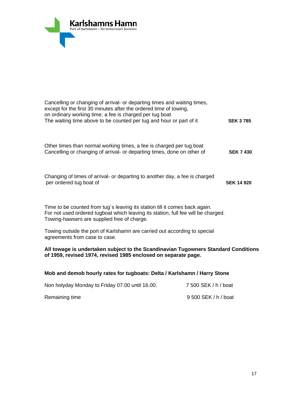

| Cancelling or changing of arrival- or departing times and waiting times,<br>except for the first 30 minutes after the ordered time of towing,<br>on ordinary working time, a fee is charged per tug boat<br>The waiting time above to be counted per tug and hour or part of it | <b>SEK 3785</b>   |
|---------------------------------------------------------------------------------------------------------------------------------------------------------------------------------------------------------------------------------------------------------------------------------|-------------------|
| Other times than normal working times, a fee is charged per tug boat<br>Cancelling or changing of arrival- or departing times, done on other of                                                                                                                                 | <b>SEK 7 430</b>  |
| Changing of times of arrival- or departing to another day, a fee is charged<br>per ordered tug boat of                                                                                                                                                                          | <b>SEK 14 920</b> |
| Time to be counted from tug's leaving its station till it comes back again.<br>For not used ordered tugboat which leaving its station, full fee will be charged.<br>Towing-hawsers are supplied free of charge.                                                                 |                   |
| Towing outside the port of Karlshamn are carried out according to special<br>agreements from case to case.                                                                                                                                                                      |                   |

#### **All towage is undertaken subject to the Scandinavian Tugowners Standard Conditions of 1959, revised 1974, revised 1985 enclosed on separate page.**

### **Mob and demob hourly rates for tugboats: Delta / Karlshamn / Harry Stone**

| Non holyday Monday to Friday 07.00 until 16.00. | 7 500 SEK / h / boat |
|-------------------------------------------------|----------------------|
| Remaining time                                  | 9 500 SEK / h / boat |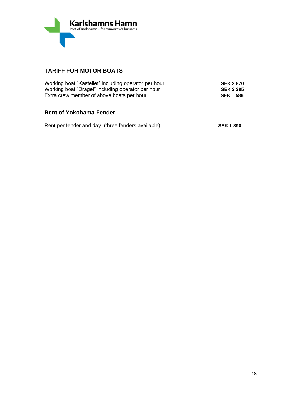

### **TARIFF FOR MOTOR BOATS**

| Working boat "Kastellet" including operator per hour | <b>SEK 2 870</b> |  |
|------------------------------------------------------|------------------|--|
| Working boat "Draget" including operator per hour    | <b>SEK 2 295</b> |  |
| Extra crew member of above boats per hour            | <b>SEK 586</b>   |  |
|                                                      |                  |  |

### **Rent of Yokohama Fender**

| Rent per fender and day (three fenders available) | <b>SEK 1 890</b> |
|---------------------------------------------------|------------------|
|                                                   |                  |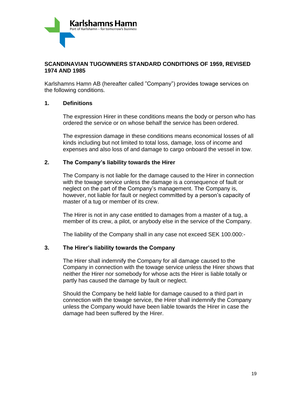

### **SCANDINAVIAN TUGOWNERS STANDARD CONDITIONS OF 1959, REVISED 1974 AND 1985**

Karlshamns Hamn AB (hereafter called "Company") provides towage services on the following conditions.

### **1. Definitions**

The expression Hirer in these conditions means the body or person who has ordered the service or on whose behalf the service has been ordered.

The expression damage in these conditions means economical losses of all kinds including but not limited to total loss, damage, loss of income and expenses and also loss of and damage to cargo onboard the vessel in tow.

### **2. The Company's liability towards the Hirer**

The Company is not liable for the damage caused to the Hirer in connection with the towage service unless the damage is a consequence of fault or neglect on the part of the Company's management. The Company is, however, not liable for fault or neglect committed by a person's capacity of master of a tug or member of its crew.

The Hirer is not in any case entitled to damages from a master of a tug, a member of its crew, a pilot, or anybody else in the service of the Company.

The liability of the Company shall in any case not exceed SEK 100.000:-

### **3. The Hirer's liability towards the Company**

The Hirer shall indemnify the Company for all damage caused to the Company in connection with the towage service unless the Hirer shows that neither the Hirer nor somebody for whose acts the Hirer is liable totally or partly has caused the damage by fault or neglect.

Should the Company be held liable for damage caused to a third part in connection with the towage service, the Hirer shall indemnify the Company unless the Company would have been liable towards the Hirer in case the damage had been suffered by the Hirer.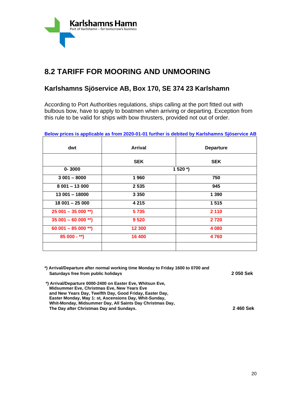

### **8.2 TARIFF FOR MOORING AND UNMOORING**

### **Karlshamns Sjöservice AB, Box 170, SE 374 23 Karlshamn**

According to Port Authorities regulations, ships calling at the port fitted out with bulbous bow, have to apply to boatmen when arriving or departing. Exception from this rule to be valid for ships with bow thrusters, provided not out of order.

**Below prices is applicable as from 2020-01-01 further is debited by Karlshamns Sjöservice AB** 

| dwt                 | <b>Arrival</b> | <b>Departure</b> |
|---------------------|----------------|------------------|
|                     | <b>SEK</b>     | <b>SEK</b>       |
| $0 - 3000$          |                | $1520*)$         |
| $3001 - 8000$       | 1960           | 750              |
| $8001 - 13000$      | 2 5 3 5        | 945              |
| $13001 - 18000$     | 3 3 5 0        | 1 3 9 0          |
| $18001 - 25000$     | 4 2 1 5        | 1515             |
| $25001 - 35000$ **) | 5735           | 2 1 1 0          |
| $35001 - 6000$ **)  | 9 5 20         | 2720             |
| $60001 - 85000**$   | 12 300         | 4 0 8 0          |
| $85000 - **$        | 16 400         | 4760             |
|                     |                |                  |

| *) Arrival/Departure after normal working time Monday to Friday 1600 to 0700 and |          |
|----------------------------------------------------------------------------------|----------|
| Saturdays free from public holidays                                              | 2050 Sek |
| *) Arrival/Departure 0000-2400 on Easter Eve, Whitsun Eve,                       |          |
| <b>Midsummer Eve, Christmas Eve, New Years Eve</b>                               |          |
| and New Years Day, Twelfth Day, Good Friday, Easter Day,                         |          |
| Easter Monday, May 1: st, Ascensions Day, Whit-Sunday,                           |          |
| Whit-Monday, Midsummer Day, All Saints Day Christmas Day,                        |          |
| The Day after Christmas Day and Sundays.                                         | 2460 Sek |
|                                                                                  |          |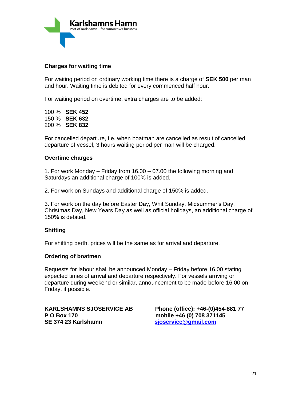

### **Charges for waiting time**

For waiting period on ordinary working time there is a charge of **SEK 500** per man and hour. Waiting time is debited for every commenced half hour.

For waiting period on overtime, extra charges are to be added:

100 % **SEK 452** 150 % **SEK 632** 200 % **SEK 832**

For cancelled departure, i.e. when boatman are cancelled as result of cancelled departure of vessel, 3 hours waiting period per man will be charged.

#### **Overtime charges**

1. For work Monday – Friday from 16.00 – 07.00 the following morning and Saturdays an additional charge of 100% is added.

2. For work on Sundays and additional charge of 150% is added.

3. For work on the day before Easter Day, Whit Sunday, Midsummer's Day, Christmas Day, New Years Day as well as official holidays, an additional charge of 150% is debited.

### **Shifting**

For shifting berth, prices will be the same as for arrival and departure.

#### **Ordering of boatmen**

Requests for labour shall be announced Monday – Friday before 16.00 stating expected times of arrival and departure respectively. For vessels arriving or departure during weekend or similar, announcement to be made before 16.00 on Friday, if possible.

**P O Box 170 mobile +46 (0) 708 371145 SE 374 23 Karlshamn [sjoservice@gmail.com](mailto:sjoservice@gmail.com)**

**KARLSHAMNS SJÖSERVICE AB Phone (office): +46-(0)454-881 77**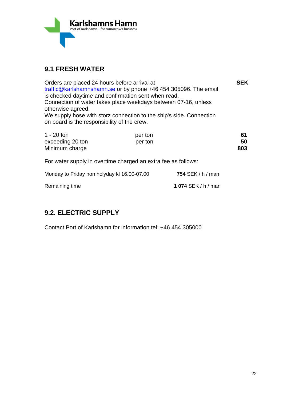

### **9.1 FRESH WATER**

| Orders are placed 24 hours before arrival at<br>traffic@karlshamnshamn.se or by phone +46 454 305096. The email<br>is checked daytime and confirmation sent when read.<br>Connection of water takes place weekdays between 07-16, unless<br>otherwise agreed.<br>We supply hose with storz connection to the ship's side. Connection<br>on board is the responsibility of the crew. |                    | <b>SEK</b>        |                 |
|-------------------------------------------------------------------------------------------------------------------------------------------------------------------------------------------------------------------------------------------------------------------------------------------------------------------------------------------------------------------------------------|--------------------|-------------------|-----------------|
| $1 - 20$ ton<br>exceeding 20 ton<br>Minimum charge                                                                                                                                                                                                                                                                                                                                  | per ton<br>per ton |                   | 61<br>50<br>803 |
| For water supply in overtime charged an extra fee as follows:                                                                                                                                                                                                                                                                                                                       |                    |                   |                 |
| Monday to Friday non holyday kl 16.00-07.00                                                                                                                                                                                                                                                                                                                                         |                    | 754 SEK / h / man |                 |

Remaining time **1 074** SEK / h / man

### **9.2. ELECTRIC SUPPLY**

Contact Port of Karlshamn for information tel: +46 454 305000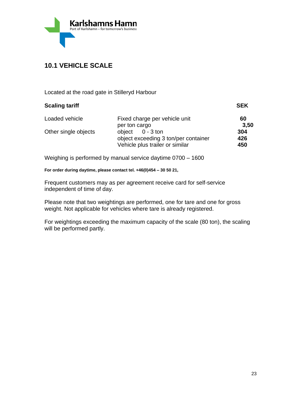

### **10.1 VEHICLE SCALE**

Located at the road gate in Stilleryd Harbour

| <b>Scaling tariff</b> |                                      | <b>SEK</b> |
|-----------------------|--------------------------------------|------------|
| Loaded vehicle        | Fixed charge per vehicle unit        | 60         |
|                       | per ton cargo                        | 3,50       |
| Other single objects  | object $0 - 3$ ton                   | 304        |
|                       | object exceeding 3 ton/per container | 426        |
|                       | Vehicle plus trailer or similar      | 450        |
|                       |                                      |            |

Weighing is performed by manual service daytime 0700 – 1600

**For order during daytime, please contact tel. +46(0)454 – 30 50 21,**

Frequent customers may as per agreement receive card for self-service independent of time of day.

Please note that two weightings are performed, one for tare and one for gross weight. Not applicable for vehicles where tare is already registered.

For weightings exceeding the maximum capacity of the scale (80 ton), the scaling will be performed partly.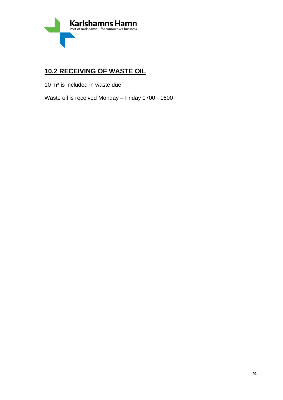

### **10.2 RECEIVING OF WASTE OIL**

 $10 \text{ m}^3$  is included in waste due

Waste oil is received Monday – Friday 0700 - 1600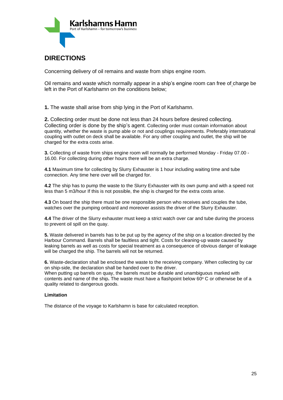

### **DIRECTIONS**

Concerning delivery of oil remains and waste from ships engine room.

Oil remains and waste which normally appear in a ship's engine room can free of charge be left in the Port of Karlshamn on the conditions below;

**1.** The waste shall arise from ship lying in the Port of Karlshamn.

**2.** Collecting order must be done not less than 24 hours before desired collecting. Collecting order is done by the ship's agent. Collecting order must contain information about quantity, whether the waste is pump able or not and couplings requirements. Preferably international coupling with outlet on deck shall be available. For any other coupling and outlet, the ship will be charged for the extra costs arise.

**3.** Collecting of waste from ships engine room will normally be performed Monday - Friday 07.00 - 16.00. For collecting during other hours there will be an extra charge.

**4.1** Maximum time for collecting by Slurry Exhauster is 1 hour including waiting time and tube connection. Any time here over will be charged for.

**4.2** The ship has to pump the waste to the Slurry Exhauster with its own pump and with a speed not less than 5 m3/hour If this is not possible, the ship is charged for the extra costs arise.

**4.3** On board the ship there must be one responsible person who receives and couples the tube, watches over the pumping onboard and moreover assists the driver of the Slurry Exhauster.

**4.4** The driver of the Slurry exhauster must keep a strict watch over car and tube during the process to prevent oil spill on the quay.

**5.** Waste delivered in barrels has to be put up by the agency of the ship on a location directed by the Harbour Command. Barrels shall be faultless and tight. Costs for cleaning-up waste caused by leaking barrels as well as costs for special treatment as a consequence of obvious danger of leakage will be charged the ship. The barrels will not be returned.

**6.** Waste-declaration shall be enclosed the waste to the receiving company. When collecting by car on ship-side, the declaration shall be handed over to the driver.

When putting up barrels on quay, the barrels must be durable and unambiguous marked with contents and name of the ship. The waste must have a flashpoint below 60° C or otherwise be of a quality related to dangerous goods.

#### **Limitation**

The distance of the voyage to Karlshamn is base for calculated reception.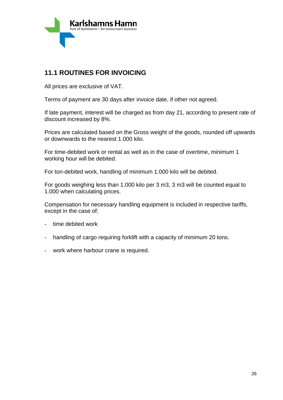

### **11.1 ROUTINES FOR INVOICING**

All prices are exclusive of VAT.

Terms of payment are 30 days after invoice date, if other not agreed.

If late payment, interest will be charged as from day 21, according to present rate of discount increased by 8%.

Prices are calculated based on the Gross weight of the goods, rounded off upwards or downwards to the nearest 1.000 kilo.

For time-debited work or rental as well as in the case of overtime, minimum 1 working hour will be debited.

For ton-debited work, handling of minimum 1.000 kilo will be debited.

For goods weighing less than 1.000 kilo per 3 m3, 3 m3 will be counted equal to 1.000 when calculating prices.

Compensation for necessary handling equipment is included in respective tariffs, except in the case of;

- time debited work
- handling of cargo requiring forklift with a capacity of minimum 20 tons.
- work where harbour crane is required.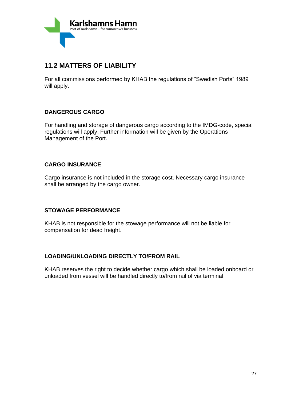

### **11.2 MATTERS OF LIABILITY**

For all commissions performed by KHAB the regulations of "Swedish Ports" 1989 will apply.

### **DANGEROUS CARGO**

For handling and storage of dangerous cargo according to the IMDG-code, special regulations will apply. Further information will be given by the Operations Management of the Port.

### **CARGO INSURANCE**

Cargo insurance is not included in the storage cost. Necessary cargo insurance shall be arranged by the cargo owner.

### **STOWAGE PERFORMANCE**

KHAB is not responsible for the stowage performance will not be liable for compensation for dead freight.

### **LOADING/UNLOADING DIRECTLY TO/FROM RAIL**

KHAB reserves the right to decide whether cargo which shall be loaded onboard or unloaded from vessel will be handled directly to/from rail of via terminal.